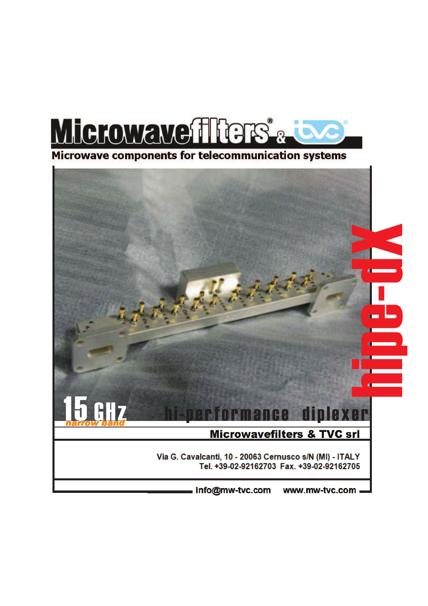

Microwave components for telecommunication systems